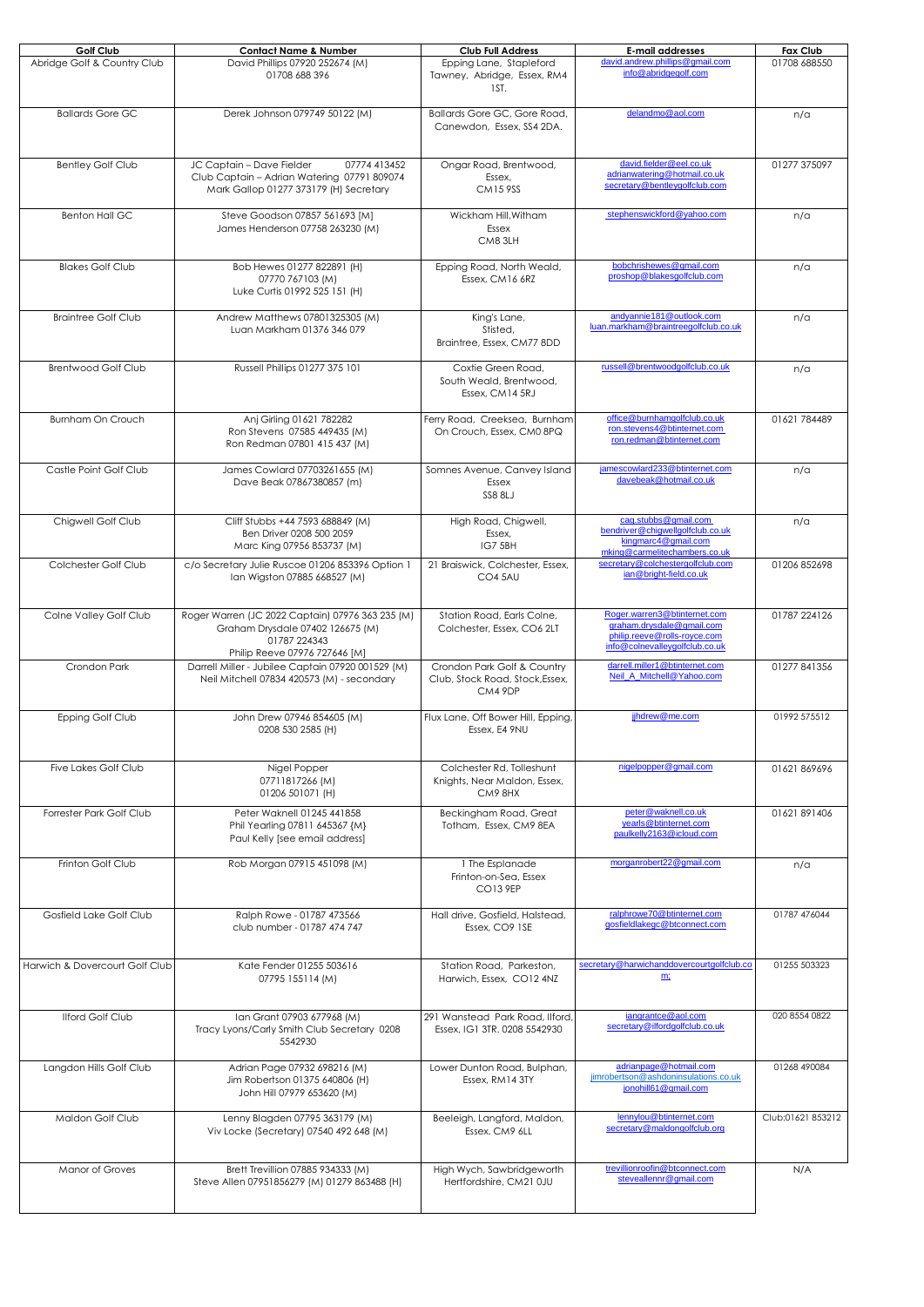| Golf Club                      | <b>Contact Name &amp; Number</b>                                                                                                      | <b>Club Full Address</b>                                                  | <b>E-mail addresses</b>                                                                                                     | Fax Club          |
|--------------------------------|---------------------------------------------------------------------------------------------------------------------------------------|---------------------------------------------------------------------------|-----------------------------------------------------------------------------------------------------------------------------|-------------------|
| Abridge Golf & Country Club    | David Phillips 07920 252674 (M)<br>01708 688 396                                                                                      | Epping Lane, Stapleford<br>Tawney, Abridge, Essex, RM4<br>1ST.            | david.andrew.phillips@gmail.com<br>info@abridgegolf.com                                                                     | 01708 688550      |
| <b>Ballards Gore GC</b>        | Derek Johnson 079749 50122 (M)                                                                                                        | Ballards Gore GC, Gore Road,<br>Canewdon, Essex, SS4 2DA.                 | delandmo@aol.com                                                                                                            | n/a               |
| <b>Bentley Golf Club</b>       | JC Captain - Dave Fielder<br>07774 413452<br>Club Captain - Adrian Watering 07791 809074<br>Mark Gallop 01277 373179 (H) Secretary    | Ongar Road, Brentwood,<br>Essex,<br><b>CM159SS</b>                        | david.fielder@eel.co.uk<br>adrianwatering@hotmail.co.uk<br>secretary@bentleygolfclub.com                                    | 01277 375097      |
| <b>Benton Hall GC</b>          | Steve Goodson 07857 561693 [M]<br>James Henderson 07758 263230 (M)                                                                    | Wickham Hill, Witham<br>Essex<br>CM83LH                                   | stephenswickford@yahoo.com                                                                                                  | n/a               |
| <b>Blakes Golf Club</b>        | Bob Hewes 01277 822891 (H)<br>07770 767103 (M)<br>Luke Curtis 01992 525 151 (H)                                                       | Epping Road, North Weald,<br>Essex, CM16 6RZ                              | bobchrishewes@gmail.com<br>proshop@blakesqolfclub.com                                                                       | n/a               |
| <b>Braintree Golf Club</b>     | Andrew Matthews 07801325305 (M)<br>Luan Markham 01376 346 079                                                                         | King's Lane,<br>Stisted,<br>Braintree, Essex, CM77 8DD                    | andyannie181@outlook.com<br>luan.markham@braintreegolfclub.co.uk                                                            | n/a               |
| <b>Brentwood Golf Club</b>     | Russell Phillips 01277 375 101                                                                                                        | Coxtie Green Road,<br>South Weald, Brentwood,<br>Essex, CM14 5RJ          | russell@brentwoodgolfclub.co.uk                                                                                             | n/a               |
| Burnham On Crouch              | Anj Girling 01621 782282<br>Ron Stevens 07585 449435 (M)<br>Ron Redman 07801 415 437 (M)                                              | Ferry Road, Creeksea, Burnham<br>On Crouch, Essex, CM0 8PQ                | office@burnhamgolfclub.co.uk<br>ron.stevens4@btinternet.com<br>ron.redman@btinternet.com                                    | 01621 784489      |
| Castle Point Golf Club         | James Cowlard 07703261655 (M)<br>Dave Beak 07867380857 (m)                                                                            | Somnes Avenue, Canvey Island<br>Essex<br>SS8 8LJ                          | jamescowlard233@btinternet.com<br>davebeak@hotmail.co.uk                                                                    | n/a               |
| Chigwell Golf Club             | Cliff Stubbs +44 7593 688849 (M)<br>Ben Driver 0208 500 2059<br>Marc King 07956 853737 (M)                                            | High Road, Chigwell,<br>Essex,<br>IG7 5BH                                 | cag.stubbs@gmail.com<br>bendriver@chiqwellqolfclub.co.uk<br>kingmarc4@gmail.com<br>mking@carmelitechambers.co.uk            | n/a               |
| Colchester Golf Club           | c/o Secretary Julie Ruscoe 01206 853396 Option 1<br>Ian Wigston 07885 668527 (M)                                                      | 21 Braiswick, Colchester, Essex,<br>CO4 5AU                               | secretary@colchestergolfclub.com<br>ian@bright-field.co.uk                                                                  | 01206 852698      |
| Colne Valley Golf Club         | Roger Warren (JC 2022 Captain) 07976 363 235 (M)<br>Graham Drysdale 07402 126675 (M)<br>01787 224343<br>Philip Reeve 07976 727646 [M] | Station Road, Earls Colne,<br>Colchester, Essex, CO6 2LT                  | Roger.warren3@btinternet.com<br>graham.drysdale@gmail.com<br>philip.reeve@rolls-royce.com<br>info@colnevalleygolfclub.co.uk | 01787 224126      |
| Crondon Park                   | Darrell Miller - Jubilee Captain 07920 001529 (M)<br>Neil Mitchell 07834 420573 (M) - secondary                                       | Crondon Park Golf & Country<br>Club, Stock Road, Stock, Essex,<br>CM4 9DP | darrell.miller1@btinternet.com<br>Neil A Mitchell@Yahoo.com                                                                 | 01277 841356      |
| Epping Golf Club               | John Drew 07946 854605 (M)<br>0208 530 2585 (H)                                                                                       | Flux Lane, Off Bower Hill, Epping,<br>Essex, E4 9NU                       | jjhdrew@me.com                                                                                                              | 01992 575512      |
| <b>Five Lakes Golf Club</b>    | Nigel Popper<br>07711817266 (M)<br>01206 501071 (H)                                                                                   | Colchester Rd, Tolleshunt<br>Knights, Near Maldon, Essex,<br>CM9 8HX      | nigelpopper@gmail.com                                                                                                       | 01621 869696      |
| Forrester Park Golf Club       | Peter Waknell 01245 441858<br>Phil Yearling 07811 645367 {M}<br>Paul Kelly [see email address]                                        | Beckingham Road, Great<br>Totham, Essex, CM9 8EA                          | peter@waknell.co.uk<br>yearls@btinternet.com<br>paulkelly2163@icloud.com                                                    | 01621 891406      |
| Frinton Golf Club              | Rob Morgan 07915 451098 (M)                                                                                                           | 1 The Esplanade<br>Frinton-on-Sea, Essex<br>CO13 9EP                      | morganrobert22@gmail.com                                                                                                    | n/a               |
| Gosfield Lake Golf Club        | Ralph Rowe - 01787 473566<br>club number - 01787 474 747                                                                              | Hall drive, Gosfield, Halstead,<br>Essex, CO9 1SE                         | ralphrowe70@btinternet.com<br>gosfieldlakegc@btconnect.com                                                                  | 01787 476044      |
| Harwich & Dovercourt Golf Club | Kate Fender 01255 503616<br>07795 155114 (M)                                                                                          | Station Road, Parkeston,<br>Harwich, Essex, CO12 4NZ                      | secretary@harwichanddovercourtgolfclub.co<br>m;                                                                             | 01255 503323      |
| <b>Ilford Golf Club</b>        | Ian Grant 07903 677968 (M)<br>Tracy Lyons/Carly Smith Club Secretary 0208<br>5542930                                                  | 291 Wanstead Park Road, Ilford,<br>Essex, IG1 3TR. 0208 5542930           | jangrantce@aol.com<br>secretary@ilfordgolfclub.co.uk                                                                        | 020 8554 0822     |
| Langdon Hills Golf Club        | Adrian Page 07932 698216 (M)<br>Jim Robertson 01375 640806 (H)<br>John Hill 07979 653620 (M)                                          | Lower Dunton Road, Bulphan,<br>Essex, RM14 3TY                            | adrianpage@hotmail.com<br>jimrobertson@ashdoninsulations.co.uk<br>jonohill61@gmail.com                                      | 01268 490084      |
| Maldon Golf Club               | Lenny Blagden 07795 363179 (M)<br>Viv Locke (Secretary) 07540 492 648 (M)                                                             | Beeleigh, Langford, Maldon,<br>Essex, CM9 6LL                             | lennylou@btinternet.com<br>secretary@maldongolfclub.org                                                                     | Club:01621 853212 |
| <b>Manor of Groves</b>         | Brett Trevillion 07885 934333 (M)<br>Steve Allen 07951856279 (M) 01279 863488 (H)                                                     | High Wych, Sawbridgeworth<br>Hertfordshire, CM21 0JU                      | trevillionroofin@btconnect.com<br>steveallennr@gmail.com                                                                    | N/A               |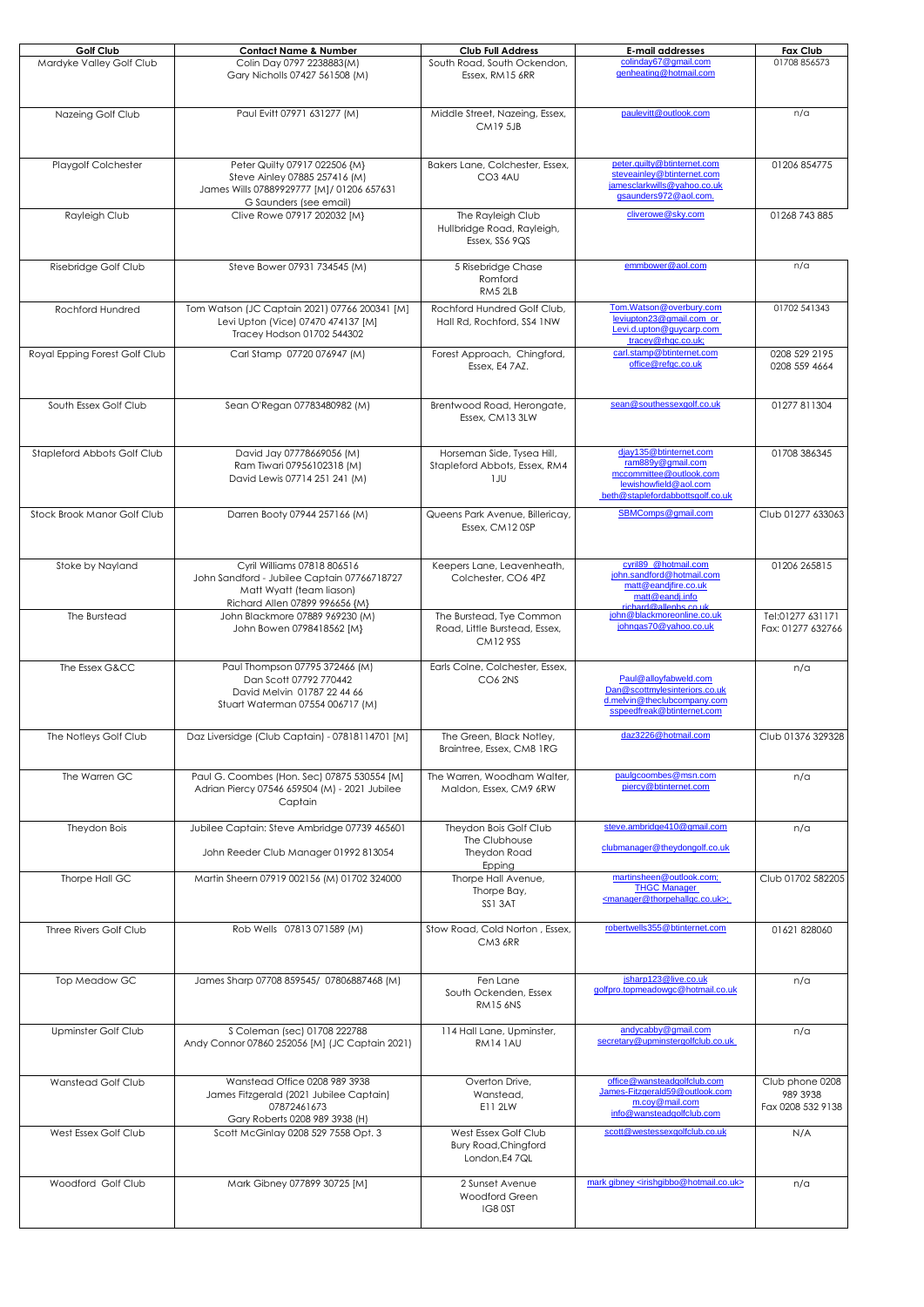| Golf Club                     | <b>Contact Name &amp; Number</b>                                                                                                         | <b>Club Full Address</b>                                                    | <b>E-mail addresses</b>                                                                                                             | <b>Fax Club</b>                                  |
|-------------------------------|------------------------------------------------------------------------------------------------------------------------------------------|-----------------------------------------------------------------------------|-------------------------------------------------------------------------------------------------------------------------------------|--------------------------------------------------|
| Mardyke Valley Golf Club      | Colin Day 0797 2238883(M)<br>Gary Nicholls 07427 561508 (M)                                                                              | South Road, South Ockendon,<br>Essex, RM15 6RR                              | colindav67@gmail.com<br>genheating@hotmail.com                                                                                      | 01708 856573                                     |
| Nazeing Golf Club             | Paul Evitt 07971 631277 (M)                                                                                                              | Middle Street, Nazeing, Essex,<br><b>CM19 5JB</b>                           | paulevitt@outlook.com                                                                                                               | n/a                                              |
| Playgolf Colchester           | Peter Quilty 07917 022506 {M}<br>Steve Ainley 07885 257416 (M)<br>James Wills 07889929777 [M]/ 01206 657631<br>G Saunders (see email)    | Bakers Lane, Colchester, Essex,<br>CO3 4AU                                  | peter.quilty@btinternet.com<br>steveainley@btinternet.com<br>jamesclarkwills@yahoo.co.uk<br>gsaunders972@aol.com.                   | 01206 854775                                     |
| Rayleigh Club                 | Clive Rowe 07917 202032 [M]                                                                                                              | The Rayleigh Club<br>Hullbridge Road, Rayleigh,<br>Essex, SS6 9QS           | cliverowe@sky.com                                                                                                                   | 01268 743 885                                    |
| Risebridge Golf Club          | Steve Bower 07931 734545 (M)                                                                                                             | 5 Risebridge Chase<br>Romford<br>RM5 2LB                                    | emmbower@aol.com                                                                                                                    | n/a                                              |
| Rochford Hundred              | Tom Watson (JC Captain 2021) 07766 200341 [M]<br>Levi Upton (Vice) 07470 474137 [M]<br>Tracey Hodson 01702 544302                        | Rochford Hundred Golf Club,<br>Hall Rd, Rochford, SS4 1NW                   | Tom.Watson@overbury.com<br>leviupton23@gmail.com or<br>Levi.d.upton@guycarp.com<br>tracey@rhgc.co.uk;                               | 01702 541343                                     |
| Royal Epping Forest Golf Club | Carl Stamp 07720 076947 (M)                                                                                                              | Forest Approach, Chingford,<br>Essex, E4 7AZ.                               | carl.stamp@btinternet.com<br>office@refgc.co.uk                                                                                     | 0208 529 2195<br>0208 559 4664                   |
| South Essex Golf Club         | Sean O'Regan 07783480982 (M)                                                                                                             | Brentwood Road, Herongate,<br>Essex, CM13 3LW                               | sean@southessexgolf.co.uk                                                                                                           | 01277 811304                                     |
| Stapleford Abbots Golf Club   | David Jay 07778669056 (M)<br>Ram Tiwari 07956102318 (M)<br>David Lewis 07714 251 241 (M)                                                 | Horseman Side, Tysea Hill,<br>Stapleford Abbots, Essex, RM4<br>1JU          | djay135@btinternet.com<br>ram889y@gmail.com<br>mccommittee@outlook.com<br>lewishowfield@aol.com<br>beth@staplefordabbottsgolf.co.uk | 01708 386345                                     |
| Stock Brook Manor Golf Club   | Darren Booty 07944 257166 (M)                                                                                                            | Queens Park Avenue, Billericay,<br>Essex, CM12 OSP                          | SBMComps@gmail.com                                                                                                                  | Club 01277 633063                                |
| Stoke by Nayland              | Cyril Williams 07818 806516<br>John Sandford - Jubilee Captain 07766718727<br>Matt Wyatt (team liason)<br>Richard Allen 07899 996656 {M} | Keepers Lane, Leavenheath,<br>Colchester, CO6 4PZ                           | cyril89 @hotmail.com<br>john.sandford@hotmail.com<br>matt@eandjfire.co.uk<br>matt@eandj.info<br>chard@allenhs.co.uk                 | 01206 265815                                     |
| The Burstead                  | John Blackmore 07889 969230 (M)<br>John Bowen 0798418562 [M}                                                                             | The Burstead, Tye Common<br>Road, Little Burstead, Essex,<br><b>CM129SS</b> | john@blackmoreonline.co.uk<br>johngas70@yahoo.co.uk                                                                                 | Tel:01277 631171<br>Fax: 01277 632766            |
| The Essex G&CC                | Paul Thompson 07795 372466 (M)<br>Dan Scott 07792 770442<br>David Melvin 01787 22 44 66<br>Stuart Waterman 07554 006717 (M)              | Earls Colne, Colchester, Essex,<br>CO6 2NS                                  | Paul@alloyfabweld.com<br>Dan@scottmylesinteriors.co.uk<br>d.melvin@theclubcompany.com<br>sspeedfreak@btinternet.com                 | n/a                                              |
| The Notleys Golf Club         | Daz Liversidge (Club Captain) - 07818114701 [M]                                                                                          | The Green, Black Notley,<br>Braintree, Essex, CM8 1RG                       | daz3226@hotmail.com                                                                                                                 | Club 01376 329328                                |
| The Warren GC                 | Paul G. Coombes (Hon. Sec) 07875 530554 [M]<br>Adrian Piercy 07546 659504 (M) - 2021 Jubilee<br>Captain                                  | The Warren, Woodham Walter,<br>Maldon, Essex, CM9 6RW                       | paulgcoombes@msn.com<br>piercy@btinternet.com                                                                                       | n/a                                              |
| Theydon Bois                  | Jubilee Captain: Steve Ambridae 07739 465601<br>John Reeder Club Manager 01992 813054                                                    | Theydon Bois Golf Club<br>The Clubhouse<br>Theydon Road<br>Epping           | steve.ambridge410@gmail.com<br>clubmanager@theydongolf.co.uk                                                                        | n/a                                              |
| Thorpe Hall GC                | Martin Sheern 07919 002156 (M) 01702 324000                                                                                              | Thorpe Hall Avenue,<br>Thorpe Bay,<br>SS1 3AT                               | martinsheen@outlook.com;<br><b>THGC Manager</b><br><manager@thorpehallgc.co.uk>;</manager@thorpehallgc.co.uk>                       | Club 01702 582205                                |
| Three Rivers Golf Club        | Rob Wells 07813 071589 (M)                                                                                                               | Stow Road, Cold Norton, Essex,<br>CM3 6RR                                   | robertwells355@btinternet.com                                                                                                       | 01621 828060                                     |
| Top Meadow GC                 | James Sharp 07708 859545/ 07806887468 (M)                                                                                                | Fen Lane<br>South Ockenden, Essex<br><b>RM15 6NS</b>                        | jsharp123@live.co.uk<br>golfpro.topmeadowgc@hotmail.co.uk                                                                           | n/a                                              |
| Upminster Golf Club           | S Coleman (sec) 01708 222788<br>Andy Connor 07860 252056 [M] (JC Captain 2021)                                                           | 114 Hall Lane, Upminster,<br><b>RM141AU</b>                                 | andycabby@gmail.com<br>secretary@upminstergolfclub.co.uk                                                                            | n/a                                              |
| Wanstead Golf Club            | Wanstead Office 0208 989 3938<br>James Fitzgerald (2021 Jubilee Captain)<br>07872461673<br>Gary Roberts 0208 989 3938 (H)                | Overton Drive,<br>Wanstead,<br>E11 2LW                                      | office@wansteadqolfclub.com<br>James-Fitzgerald59@outlook.com<br>m.coy@mail.com<br>info@wansteadgolfclub.com                        | Club phone 0208<br>989 3938<br>Fax 0208 532 9138 |
| West Essex Golf Club          | Scott McGinlay 0208 529 7558 Opt. 3                                                                                                      | West Essex Golf Club<br><b>Bury Road, Chingford</b><br>London, E4 7QL       | scott@westessexgolfclub.co.uk                                                                                                       | N/A                                              |
| Woodford Golf Club            | Mark Gibney 077899 30725 [M]                                                                                                             | 2 Sunset Avenue<br>Woodford Green<br>IG8 0ST                                | mark gibney <irishgibbo@hotmail.co.uk></irishgibbo@hotmail.co.uk>                                                                   | n/a                                              |